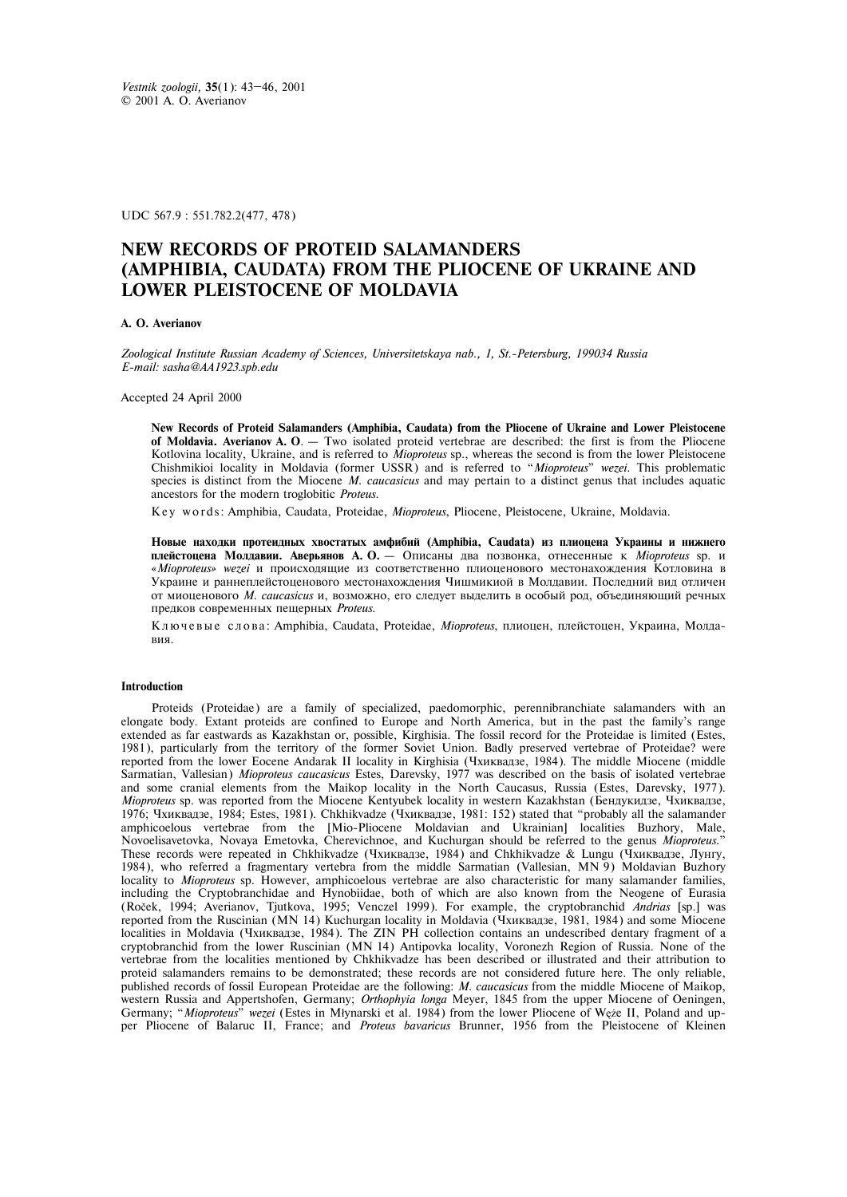UDC 567.9 : 551.782.2(477, 478)

# **NEW RECORDS OF PROTEID SALAMANDERS (AMPHIBIA, CAUDATA) FROM THE PLIOCENE OF UKRAINE AND LOWER PLEISTOCENE OF MOLDAVIA**

### **A. O. Averianov**

*Zoological Institute Russian Academy of Sciences, Universitetskaya nab., 1, St.-Petersburg, 199034 Russia E-mail: sasha@AA1923.spb.edu* 

Accepted 24 April 2000

**New Records of Proteid Salamanders (Amphibia, Caudata) from the Pliocene of Ukraine and Lower Pleistocene of Moldavia. Averianov A. O**. – Two isolated proteid vertebrae are described: the first is from the Pliocene Kotlovina locality, Ukraine, and is referred to *Mioproteus* sp., whereas the second is from the lower Pleistocene Chishmikioi locality in Moldavia (former USSR) and is referred to "*Mioproteus*" *wezei*. This problematic species is distinct from the Miocene *M. caucasicus* and may pertain to a distinct genus that includes aquatic ancestors for the modern troglobitic *Proteus*.

K e y w o r d s : Amphibia, Caudata, Proteidae, *Mioproteus*, Pliocene, Pleistocene, Ukraine, Moldavia.

Новые находки протеидных хвостатых амфибий (Amphibia, Caudata) из плиоцена Украины и нижнего плейстоцена Молдавии. Аверьянов А. О. – Описаны два позвонка, отнесенные к *Mioproteus* sp. и «*Mioproteus» wezei* и происходящие из соответственно плиоценового местонахождения Котловина в Украине и раннеплейстоценового местонахождения Чишмикиой в Молдавии. Последний вид отличен от миоценового *М. caucasicus* и, возможно, его следует выделить в особый род, объединяющий речных предков современных пещерных Proteus.

Ключевые слова: Amphibia, Caudata, Proteidae, Mioproteus, плиоцен, плейстоцен, Украина, Молдавия.

#### **Introduction**

Proteids (Proteidae) are a family of specialized, paedomorphic, perennibranchiate salamanders with an elongate body. Extant proteids are confined to Europe and North America, but in the past the family's range extended as far eastwards as Kazakhstan or, possible, Kirghisia. The fossil record for the Proteidae is limited (Estes, 1981), particularly from the territory of the former Soviet Union. Badly preserved vertebrae of Proteidae? were reported from the lower Eocene Andarak II locality in Kirghisia (Чхиквадзе, 1984). The middle Miocene (middle Sarmatian, Vallesian) *Mioproteus caucasicus* Estes, Darevsky, 1977 was described on the basis of isolated vertebrae and some cranial elements from the Maikop locality in the North Caucasus, Russia (Estes, Darevsky, 1977). *Mioproteus* sp. was reported from the Miocene Kentyubek locality in western Kazakhstan (Бендукидзе, Чхиквадзе, 1976; Чхиквадзе, 1984; Estes, 1981). Chkhikvadze (Чхиквадзе, 1981: 152) stated that "probably all the salamander amphicoelous vertebrae from the [Mio-Pliocene Moldavian and Ukrainian] localities Buzhory, Male, Novoelisavetovka, Novaya Emetovka, Cherevichnoe, and Kuchurgan should be referred to the genus *Mioproteus*." These records were repeated in Chkhikvadze (Чхиквадзе, 1984) and Chkhikvadze & Lungu (Чхиквадзе, Лунгу, 1984), who referred a fragmentary vertebra from the middle Sarmatian (Vallesian, MN 9) Moldavian Buzhory locality to *Mioproteus* sp. However, amphicoelous vertebrae are also characteristic for many salamander families, including the Cryptobranchidae and Hynobiidae, both of which are also known from the Neogene of Eurasia (Roček, 1994; Averianov, Tjutkova, 1995; Venczel 1999). For example, the cryptobranchid *Andrias* [sp.] was reported from the Ruscinian (MN 14) Kuchurgan locality in Moldavia (Чхиквадзе, 1981, 1984) and some Miocene localities in Moldavia (Чхиквадзе, 1984). The ZIN PH collection contains an undescribed dentary fragment of a cryptobranchid from the lower Ruscinian (MN 14) Antipovka locality, Voronezh Region of Russia. None of the vertebrae from the localities mentioned by Chkhikvadze has been described or illustrated and their attribution to proteid salamanders remains to be demonstrated; these records are not considered future here. The only reliable, published records of fossil European Proteidae are the following: *M. caucasicus* from the middle Miocene of Maikop, western Russia and Appertshofen, Germany; *Orthophyia longa* Meyer, 1845 from the upper Miocene of Oeningen, Germany; "*Mioproteus*" *wezei* (Estes in Młynarski et al. 1984) from the lower Pliocene of Węże II, Poland and upper Pliocene of Balaruc II, France; and *Proteus bavaricus* Brunner, 1956 from the Pleistocene of Kleinen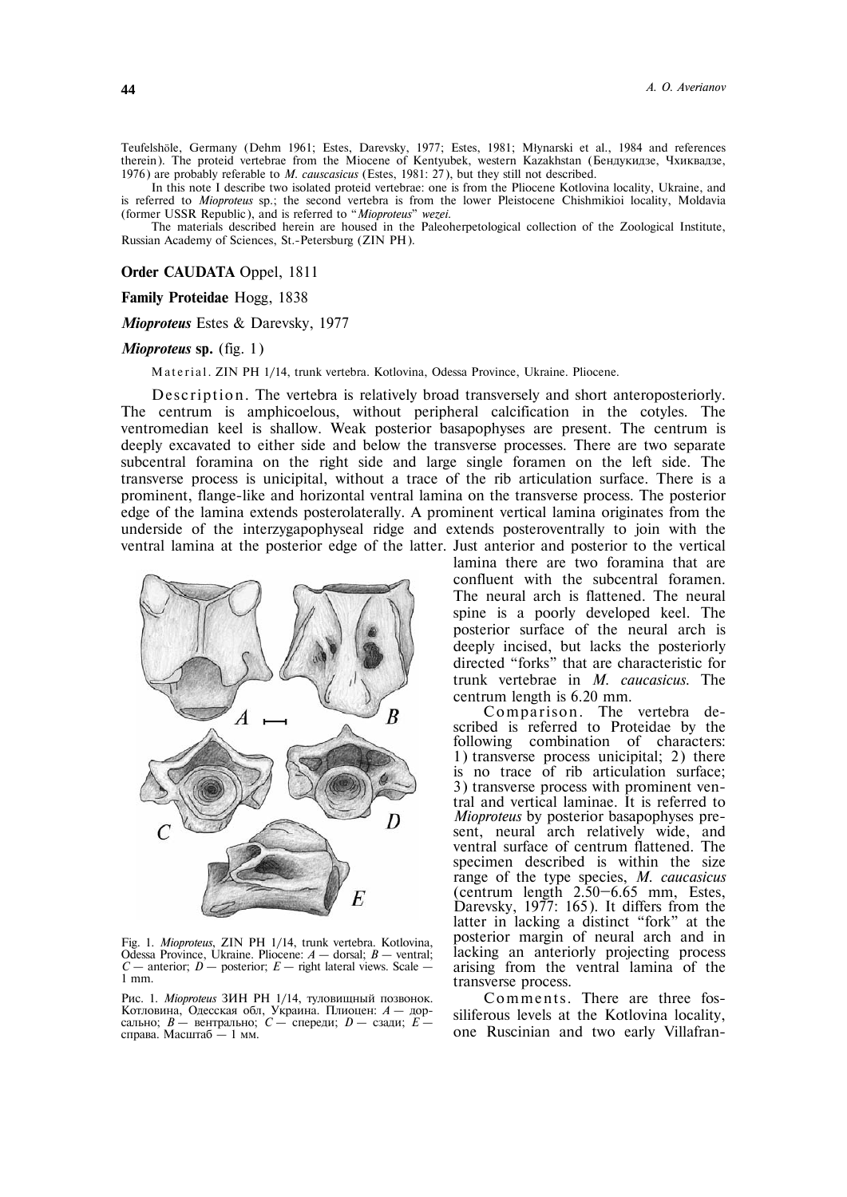Teufelshöle, Germany (Dehm 1961; Estes, Darevsky, 1977; Estes, 1981; Młynarski et al., 1984 and references therein). The proteid vertebrae from the Miocene of Kentyubek, western Kazakhstan (Бендукидзе, Чхиквадзе, 1976) are probably referable to *M. causcasicus* (Estes, 1981: 27), but they still not described.

In this note I describe two isolated proteid vertebrae: one is from the Pliocene Kotlovina locality, Ukraine, and is referred to *Mioproteus* sp.; the second vertebra is from the lower Pleistocene Chishmikioi locality, Moldavia (former USSR Republic), and is referred to "*Mioproteus*" *wezei*.

The materials described herein are housed in the Paleoherpetological collection of the Zoological Institute, Russian Academy of Sciences, St.-Petersburg (ZIN PH).

**Order CAUDATA** Oppel, 1811

**Family Proteidae** Hogg, 1838

*Mioproteus* Estes & Darevsky, 1977

## *Mioproteus* **sp.** (fig. 1)

Material. ZIN PH 1/14, trunk vertebra. Kotlovina, Odessa Province, Ukraine. Pliocene.

Description. The vertebra is relatively broad transversely and short anteroposteriorly. The centrum is amphicoelous, without peripheral calcification in the cotyles. The ventromedian keel is shallow. Weak posterior basapophyses are present. The centrum is deeply excavated to either side and below the transverse processes. There are two separate subcentral foramina on the right side and large single foramen on the left side. The transverse process is unicipital, without a trace of the rib articulation surface. There is a prominent, flange-like and horizontal ventral lamina on the transverse process. The posterior edge of the lamina extends posterolaterally. A prominent vertical lamina originates from the underside of the interzygapophyseal ridge and extends posteroventrally to join with the ventral lamina at the posterior edge of the latter. Just anterior and posterior to the vertical



Fig. 1. *Mioproteus*, ZIN PH 1/14, trunk vertebra. Kotlovina, Odessa Province, Ukraine. Pliocene: *A* – dorsal; *B* – ventral;  $C$  – anterior;  $D$  – posterior;  $E$  – right lateral views. Scale – 1 mm.

Рис. 1. *Mioproteus* ЗИН РН 1/14, туловищный позвонок. Котловина, Одесская обл, Украина. Плиоцен: *А* – дорсально:  $B$  – вентрально:  $C$  – спереди:  $D$  – сзади:  $E$  – справа. Масштаб – 1 мм.

lamina there are two foramina that are confluent with the subcentral foramen. The neural arch is flattened. The neural spine is a poorly developed keel. The posterior surface of the neural arch is deeply incised, but lacks the posteriorly directed "forks" that are characteristic for trunk vertebrae in *M. caucasicus*. The centrum length is 6.20 mm.

Comparison. The vertebra described is referred to Proteidae by the following combination of characters: 1) transverse process unicipital; 2) there is no trace of rib articulation surface; 3) transverse process with prominent ventral and vertical laminae. It is referred to *Mioproteus* by posterior basapophyses present, neural arch relatively wide, and ventral surface of centrum flattened. The specimen described is within the size range of the type species, *M. caucasicus* (centrum length 2.50—6.65 mm, Estes, Darevsky, 1977: 165). It differs from the latter in lacking a distinct "fork" at the posterior margin of neural arch and in lacking an anteriorly projecting process arising from the ventral lamina of the transverse process.

Comments. There are three fossiliferous levels at the Kotlovina locality, one Ruscinian and two early Villafran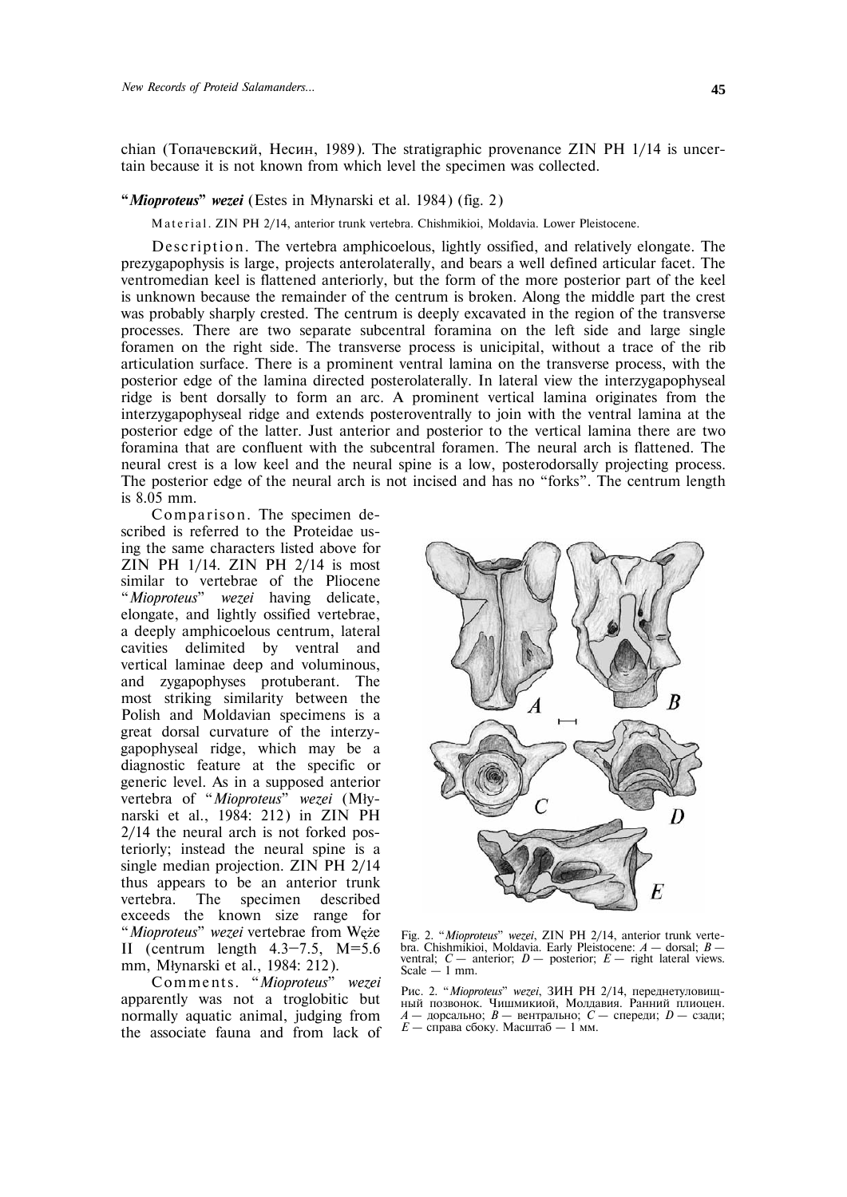chian (Топачевский, Несин, 1989). The stratigraphic provenance ZIN PH 1/14 is uncertain because it is not known from which level the specimen was collected.

## **"***Mioproteus***"** *wezei* (Estes in Młynarski et al. 1984) (fig. 2)

Material. ZIN PH 2/14, anterior trunk vertebra. Chishmikioi, Moldavia. Lower Pleistocene.

Description. The vertebra amphicoelous, lightly ossified, and relatively elongate. The prezygapophysis is large, projects anterolaterally, and bears a well defined articular facet. The ventromedian keel is flattened anteriorly, but the form of the more posterior part of the keel is unknown because the remainder of the centrum is broken. Along the middle part the crest was probably sharply crested. The centrum is deeply excavated in the region of the transverse processes. There are two separate subcentral foramina on the left side and large single foramen on the right side. The transverse process is unicipital, without a trace of the rib articulation surface. There is a prominent ventral lamina on the transverse process, with the posterior edge of the lamina directed posterolaterally. In lateral view the interzygapophyseal ridge is bent dorsally to form an arc. A prominent vertical lamina originates from the interzygapophyseal ridge and extends posteroventrally to join with the ventral lamina at the posterior edge of the latter. Just anterior and posterior to the vertical lamina there are two foramina that are confluent with the subcentral foramen. The neural arch is flattened. The neural crest is a low keel and the neural spine is a low, posterodorsally projecting process. The posterior edge of the neural arch is not incised and has no "forks". The centrum length is 8.05 mm.

Comparison. The specimen described is referred to the Proteidae using the same characters listed above for ZIN PH 1/14. ZIN PH 2/14 is most similar to vertebrae of the Pliocene "*Mioproteus*" *wezei* having delicate, elongate, and lightly ossified vertebrae, a deeply amphicoelous centrum, lateral cavities delimited by ventral and vertical laminae deep and voluminous, and zygapophyses protuberant. The most striking similarity between the Polish and Moldavian specimens is a great dorsal curvature of the interzygapophyseal ridge, which may be a diagnostic feature at the specific or generic level. As in a supposed anterior vertebra of "*Mioproteus*" *wezei* (Młynarski et al., 1984: 212) in ZIN PH 2/14 the neural arch is not forked posteriorly; instead the neural spine is a single median projection. ZIN PH 2/14 thus appears to be an anterior trunk vertebra. The specimen described exceeds the known size range for "*Mioproteus*" *wezei* vertebrae from Węże II (centrum length  $4.3-7.5$ , M=5.6 mm, Młynarski et al., 1984: 212).

C omme n t s. "*Mioproteus*" *wezei* apparently was not a troglobitic but normally aquatic animal, judging from the associate fauna and from lack of



Fig. 2. "*Mioproteus*" *wezei*, ZIN PH 2/14, anterior trunk vertebra. Chishmikioi, Moldavia. Early Pleistocene: *A* – dorsal; *B* – ventral;  $C$  – anterior;  $D$  – posterior;  $E$  – right lateral views. Scale  $-1$  mm.

Рис. 2. "Mioproteus" wezei, ЗИН РН 2/14, переднетуловищный позвонок. Чишмикиой, Молдавия. Ранний плиоцен. *A* — дорсально; *B* — вентрально; *C* — спереди; *D* — сзади;  $E$  – справа сбоку. Масштаб – 1 мм.